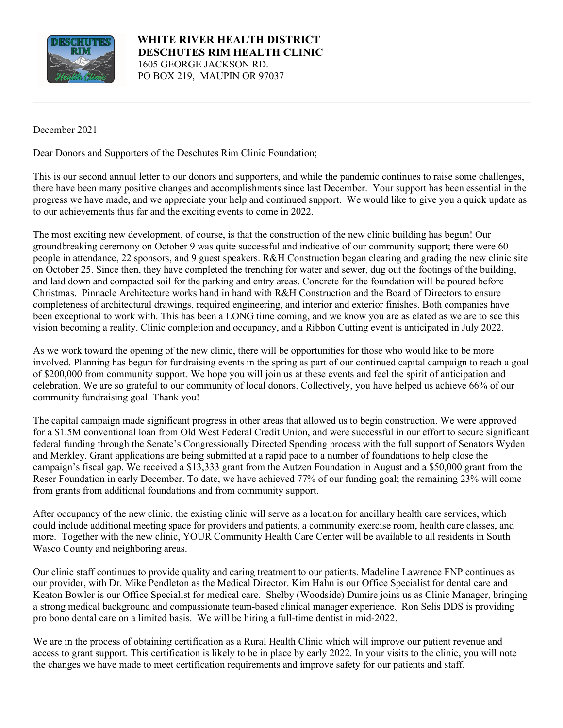

 **WHITE RIVER HEALTH DISTRICT DESCHUTES RIM HEALTH CLINIC** 1605 GEORGE JACKSON RD. PO BOX 219, MAUPIN OR 97037

December 2021

Dear Donors and Supporters of the Deschutes Rim Clinic Foundation;

This is our second annual letter to our donors and supporters, and while the pandemic continues to raise some challenges, there have been many positive changes and accomplishments since last December. Your support has been essential in the progress we have made, and we appreciate your help and continued support. We would like to give you a quick update as to our achievements thus far and the exciting events to come in 2022.

\_\_\_\_\_\_\_\_\_\_\_\_\_\_\_\_\_\_\_\_\_\_\_\_\_\_\_\_\_\_\_\_\_\_\_\_\_\_\_\_\_\_\_\_\_\_\_\_\_\_\_\_\_\_\_\_\_\_\_\_\_\_\_\_\_\_\_\_\_\_\_\_\_\_\_\_\_\_\_\_\_\_\_\_\_\_\_\_\_\_\_\_\_\_\_\_\_\_\_\_\_\_\_\_\_\_\_\_

The most exciting new development, of course, is that the construction of the new clinic building has begun! Our groundbreaking ceremony on October 9 was quite successful and indicative of our community support; there were 60 people in attendance, 22 sponsors, and 9 guest speakers. R&H Construction began clearing and grading the new clinic site on October 25. Since then, they have completed the trenching for water and sewer, dug out the footings of the building, and laid down and compacted soil for the parking and entry areas. Concrete for the foundation will be poured before Christmas. Pinnacle Architecture works hand in hand with R&H Construction and the Board of Directors to ensure completeness of architectural drawings, required engineering, and interior and exterior finishes. Both companies have been exceptional to work with. This has been a LONG time coming, and we know you are as elated as we are to see this vision becoming a reality. Clinic completion and occupancy, and a Ribbon Cutting event is anticipated in July 2022.

As we work toward the opening of the new clinic, there will be opportunities for those who would like to be more involved. Planning has begun for fundraising events in the spring as part of our continued capital campaign to reach a goal of \$200,000 from community support. We hope you will join us at these events and feel the spirit of anticipation and celebration. We are so grateful to our community of local donors. Collectively, you have helped us achieve 66% of our community fundraising goal. Thank you!

The capital campaign made significant progress in other areas that allowed us to begin construction. We were approved for a \$1.5M conventional loan from Old West Federal Credit Union, and were successful in our effort to secure significant federal funding through the Senate's Congressionally Directed Spending process with the full support of Senators Wyden and Merkley. Grant applications are being submitted at a rapid pace to a number of foundations to help close the campaign's fiscal gap. We received a \$13,333 grant from the Autzen Foundation in August and a \$50,000 grant from the Reser Foundation in early December. To date, we have achieved 77% of our funding goal; the remaining 23% will come from grants from additional foundations and from community support.

After occupancy of the new clinic, the existing clinic will serve as a location for ancillary health care services, which could include additional meeting space for providers and patients, a community exercise room, health care classes, and more. Together with the new clinic, YOUR Community Health Care Center will be available to all residents in South Wasco County and neighboring areas.

Our clinic staff continues to provide quality and caring treatment to our patients. Madeline Lawrence FNP continues as our provider, with Dr. Mike Pendleton as the Medical Director. Kim Hahn is our Office Specialist for dental care and Keaton Bowler is our Office Specialist for medical care. Shelby (Woodside) Dumire joins us as Clinic Manager, bringing a strong medical background and compassionate team-based clinical manager experience. Ron Selis DDS is providing pro bono dental care on a limited basis. We will be hiring a full-time dentist in mid-2022.

We are in the process of obtaining certification as a Rural Health Clinic which will improve our patient revenue and access to grant support. This certification is likely to be in place by early 2022. In your visits to the clinic, you will note the changes we have made to meet certification requirements and improve safety for our patients and staff.